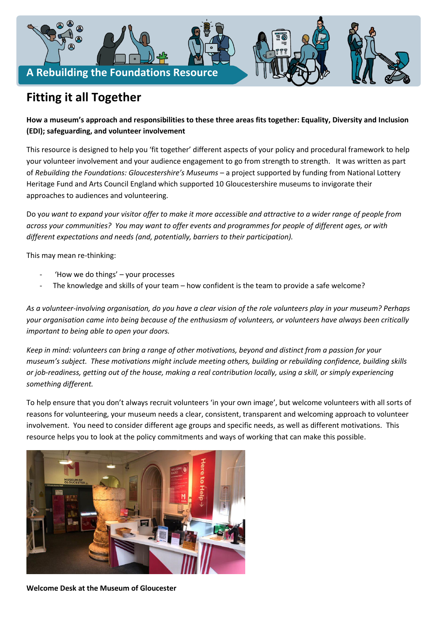

# **Fitting it all Together**

## **How a museum's approach and responsibilities to these three areas fits together: Equality, Diversity and Inclusion (EDI); safeguarding, and volunteer involvement**

This resource is designed to help you 'fit together' different aspects of your policy and procedural framework to help your volunteer involvement and your audience engagement to go from strength to strength. It was written as part of *Rebuilding the Foundations: Gloucestershire's Museums* – a project supported by funding from National Lottery Heritage Fund and Arts Council England which supported 10 Gloucestershire museums to invigorate their approaches to audiences and volunteering.

Do y*ou want to expand your visitor offer to make it more accessible and attractive to a wider range of people from across your communities? You may want to offer events and programmes for people of different ages, or with different expectations and needs (and, potentially, barriers to their participation).*

This may mean re-thinking:

- 'How we do things' your processes
- The knowledge and skills of your team how confident is the team to provide a safe welcome?

*As a volunteer-involving organisation, do you have a clear vision of the role volunteers play in your museum? Perhaps your organisation came into being because of the enthusiasm of volunteers, or volunteers have always been critically important to being able to open your doors.* 

*Keep in mind: volunteers can bring a range of other motivations, beyond and distinct from a passion for your museum's subject. These motivations might include meeting others, building or rebuilding confidence, building skills or job-readiness, getting out of the house, making a real contribution locally, using a skill, or simply experiencing something different.* 

To help ensure that you don't always recruit volunteers 'in your own image', but welcome volunteers with all sorts of reasons for volunteering, your museum needs a clear, consistent, transparent and welcoming approach to volunteer involvement. You need to consider different age groups and specific needs, as well as different motivations. This resource helps you to look at the policy commitments and ways of working that can make this possible.



**Welcome Desk at the Museum of Gloucester**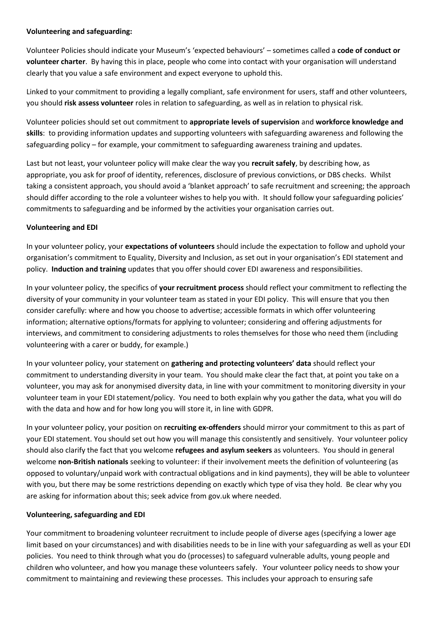#### **Volunteering and safeguarding:**

Volunteer Policies should indicate your Museum's 'expected behaviours' – sometimes called a **code of conduct or volunteer charter**. By having this in place, people who come into contact with your organisation will understand clearly that you value a safe environment and expect everyone to uphold this.

Linked to your commitment to providing a legally compliant, safe environment for users, staff and other volunteers, you should **risk assess volunteer** roles in relation to safeguarding, as well as in relation to physical risk.

Volunteer policies should set out commitment to **appropriate levels of supervision** and **workforce knowledge and skills**: to providing information updates and supporting volunteers with safeguarding awareness and following the safeguarding policy – for example, your commitment to safeguarding awareness training and updates.

Last but not least, your volunteer policy will make clear the way you **recruit safely**, by describing how, as appropriate, you ask for proof of identity, references, disclosure of previous convictions, or DBS checks. Whilst taking a consistent approach, you should avoid a 'blanket approach' to safe recruitment and screening; the approach should differ according to the role a volunteer wishes to help you with. It should follow your safeguarding policies' commitments to safeguarding and be informed by the activities your organisation carries out.

#### **Volunteering and EDI**

In your volunteer policy, your **expectations of volunteers** should include the expectation to follow and uphold your organisation's commitment to Equality, Diversity and Inclusion, as set out in your organisation's EDI statement and policy. **Induction and training** updates that you offer should cover EDI awareness and responsibilities.

In your volunteer policy, the specifics of **your recruitment process** should reflect your commitment to reflecting the diversity of your community in your volunteer team as stated in your EDI policy. This will ensure that you then consider carefully: where and how you choose to advertise; accessible formats in which offer volunteering information; alternative options/formats for applying to volunteer; considering and offering adjustments for interviews, and commitment to considering adjustments to roles themselves for those who need them (including volunteering with a carer or buddy, for example.)

In your volunteer policy, your statement on **gathering and protecting volunteers' data** should reflect your commitment to understanding diversity in your team. You should make clear the fact that, at point you take on a volunteer, you may ask for anonymised diversity data, in line with your commitment to monitoring diversity in your volunteer team in your EDI statement/policy. You need to both explain why you gather the data, what you will do with the data and how and for how long you will store it, in line with GDPR.

In your volunteer policy, your position on **recruiting ex-offenders** should mirror your commitment to this as part of your EDI statement. You should set out how you will manage this consistently and sensitively. Your volunteer policy should also clarify the fact that you welcome **refugees and asylum seekers** as volunteers. You should in general welcome **non-British nationals** seeking to volunteer: if their involvement meets the definition of volunteering (as opposed to voluntary/unpaid work with contractual obligations and in kind payments), they will be able to volunteer with you, but there may be some restrictions depending on exactly which type of visa they hold. Be clear why you are asking for information about this; seek advice from gov.uk where needed.

#### **Volunteering, safeguarding and EDI**

Your commitment to broadening volunteer recruitment to include people of diverse ages (specifying a lower age limit based on your circumstances) and with disabilities needs to be in line with your safeguarding as well as your EDI policies. You need to think through what you do (processes) to safeguard vulnerable adults, young people and children who volunteer, and how you manage these volunteers safely. Your volunteer policy needs to show your commitment to maintaining and reviewing these processes. This includes your approach to ensuring safe